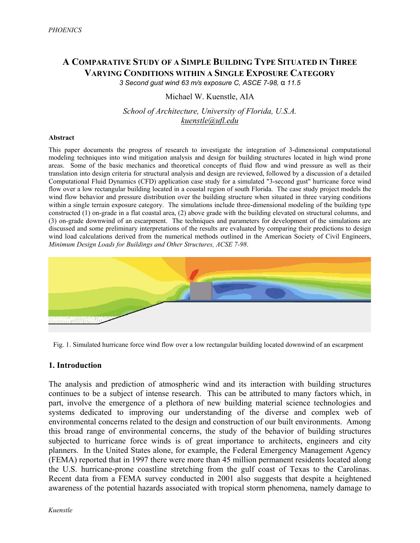# **A COMPARATIVE STUDY OF A SIMPLE BUILDING TYPE SITUATED IN THREE VARYING CONDITIONS WITHIN A SINGLE EXPOSURE CATEGORY**

*3 Second gust wind 63 m/s exposure C, ASCE 7-98,* α *11.5*

## Michael W. Kuenstle, AIA

*School of Architecture, University of Florida, U.S.A. kuenstle@ufl.edu*

#### **Abstract**

This paper documents the progress of research to investigate the integration of 3-dimensional computational modeling techniques into wind mitigation analysis and design for building structures located in high wind prone areas. Some of the basic mechanics and theoretical concepts of fluid flow and wind pressure as well as their translation into design criteria for structural analysis and design are reviewed, followed by a discussion of a detailed Computational Fluid Dynamics (CFD) application case study for a simulated "3-second gust" hurricane force wind flow over a low rectangular building located in a coastal region of south Florida. The case study project models the wind flow behavior and pressure distribution over the building structure when situated in three varying conditions within a single terrain exposure category. The simulations include three-dimensional modeling of the building type constructed (1) on-grade in a flat coastal area, (2) above grade with the building elevated on structural columns, and (3) on-grade downwind of an escarpment. The techniques and parameters for development of the simulations are discussed and some preliminary interpretations of the results are evaluated by comparing their predictions to design wind load calculations derived from the numerical methods outlined in the American Society of Civil Engineers, *Minimum Design Loads for Buildings and Other Structures, ACSE 7-98*.



Fig. 1. Simulated hurricane force wind flow over a low rectangular building located downwind of an escarpment

## **1. Introduction**

The analysis and prediction of atmospheric wind and its interaction with building structures continues to be a subject of intense research. This can be attributed to many factors which, in part, involve the emergence of a plethora of new building material science technologies and systems dedicated to improving our understanding of the diverse and complex web of environmental concerns related to the design and construction of our built environments. Among this broad range of environmental concerns, the study of the behavior of building structures subjected to hurricane force winds is of great importance to architects, engineers and city planners. In the United States alone, for example, the Federal Emergency Management Agency (FEMA) reported that in 1997 there were more than 45 million permanent residents located along the U.S. hurricane-prone coastline stretching from the gulf coast of Texas to the Carolinas. Recent data from a FEMA survey conducted in 2001 also suggests that despite a heightened awareness of the potential hazards associated with tropical storm phenomena, namely damage to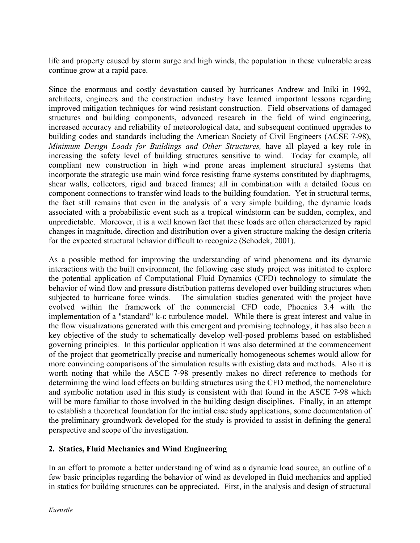life and property caused by storm surge and high winds, the population in these vulnerable areas continue grow at a rapid pace.

Since the enormous and costly devastation caused by hurricanes Andrew and Iniki in 1992, architects, engineers and the construction industry have learned important lessons regarding improved mitigation techniques for wind resistant construction. Field observations of damaged structures and building components, advanced research in the field of wind engineering, increased accuracy and reliability of meteorological data, and subsequent continued upgrades to building codes and standards including the American Society of Civil Engineers (ACSE 7-98), *Minimum Design Loads for Buildings and Other Structures,* have all played a key role in increasing the safety level of building structures sensitive to wind. Today for example, all compliant new construction in high wind prone areas implement structural systems that incorporate the strategic use main wind force resisting frame systems constituted by diaphragms, shear walls, collectors, rigid and braced frames; all in combination with a detailed focus on component connections to transfer wind loads to the building foundation. Yet in structural terms, the fact still remains that even in the analysis of a very simple building, the dynamic loads associated with a probabilistic event such as a tropical windstorm can be sudden, complex, and unpredictable. Moreover, it is a well known fact that these loads are often characterized by rapid changes in magnitude, direction and distribution over a given structure making the design criteria for the expected structural behavior difficult to recognize (Schodek, 2001).

As a possible method for improving the understanding of wind phenomena and its dynamic interactions with the built environment, the following case study project was initiated to explore the potential application of Computational Fluid Dynamics (CFD) technology to simulate the behavior of wind flow and pressure distribution patterns developed over building structures when subjected to hurricane force winds. The simulation studies generated with the project have evolved within the framework of the commercial CFD code, Phoenics 3.4 with the implementation of a "standard" k-ε turbulence model. While there is great interest and value in the flow visualizations generated with this emergent and promising technology, it has also been a key objective of the study to schematically develop well-posed problems based on established governing principles. In this particular application it was also determined at the commencement of the project that geometrically precise and numerically homogeneous schemes would allow for more convincing comparisons of the simulation results with existing data and methods. Also it is worth noting that while the ASCE 7-98 presently makes no direct reference to methods for determining the wind load effects on building structures using the CFD method, the nomenclature and symbolic notation used in this study is consistent with that found in the ASCE 7-98 which will be more familiar to those involved in the building design disciplines. Finally, in an attempt to establish a theoretical foundation for the initial case study applications, some documentation of the preliminary groundwork developed for the study is provided to assist in defining the general perspective and scope of the investigation.

## **2. Statics, Fluid Mechanics and Wind Engineering**

In an effort to promote a better understanding of wind as a dynamic load source, an outline of a few basic principles regarding the behavior of wind as developed in fluid mechanics and applied in statics for building structures can be appreciated. First, in the analysis and design of structural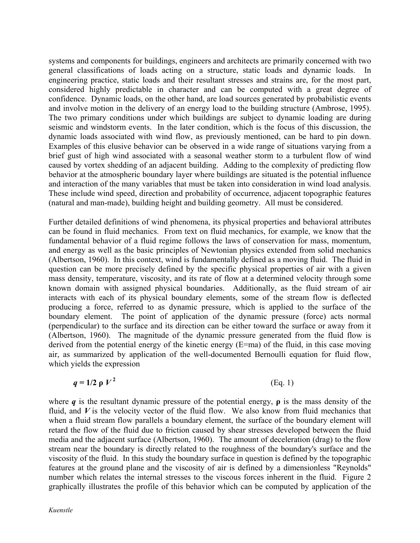systems and components for buildings, engineers and architects are primarily concerned with two general classifications of loads acting on a structure, static loads and dynamic loads. In engineering practice, static loads and their resultant stresses and strains are, for the most part, considered highly predictable in character and can be computed with a great degree of confidence. Dynamic loads, on the other hand, are load sources generated by probabilistic events and involve motion in the delivery of an energy load to the building structure (Ambrose, 1995). The two primary conditions under which buildings are subject to dynamic loading are during seismic and windstorm events. In the later condition, which is the focus of this discussion, the dynamic loads associated with wind flow, as previously mentioned, can be hard to pin down. Examples of this elusive behavior can be observed in a wide range of situations varying from a brief gust of high wind associated with a seasonal weather storm to a turbulent flow of wind caused by vortex shedding of an adjacent building. Adding to the complexity of predicting flow behavior at the atmospheric boundary layer where buildings are situated is the potential influence and interaction of the many variables that must be taken into consideration in wind load analysis. These include wind speed, direction and probability of occurrence, adjacent topographic features (natural and man-made), building height and building geometry. All must be considered.

Further detailed definitions of wind phenomena, its physical properties and behavioral attributes can be found in fluid mechanics. From text on fluid mechanics, for example, we know that the fundamental behavior of a fluid regime follows the laws of conservation for mass, momentum, and energy as well as the basic principles of Newtonian physics extended from solid mechanics (Albertson, 1960). In this context, wind is fundamentally defined as a moving fluid. The fluid in question can be more precisely defined by the specific physical properties of air with a given mass density, temperature, viscosity, and its rate of flow at a determined velocity through some known domain with assigned physical boundaries. Additionally, as the fluid stream of air interacts with each of its physical boundary elements, some of the stream flow is deflected producing a force, referred to as dynamic pressure, which is applied to the surface of the boundary element. The point of application of the dynamic pressure (force) acts normal (perpendicular) to the surface and its direction can be either toward the surface or away from it (Albertson, 1960). The magnitude of the dynamic pressure generated from the fluid flow is derived from the potential energy of the kinetic energy (E=ma) of the fluid, in this case moving air, as summarized by application of the well-documented Bernoulli equation for fluid flow, which yields the expression

$$
q = 1/2 \rho V^2 \tag{Eq. 1}
$$

where *q* is the resultant dynamic pressure of the potential energy, **ρ** is the mass density of the fluid, and  $V$  is the velocity vector of the fluid flow. We also know from fluid mechanics that when a fluid stream flow parallels a boundary element, the surface of the boundary element will retard the flow of the fluid due to friction caused by shear stresses developed between the fluid media and the adjacent surface (Albertson, 1960). The amount of deceleration (drag) to the flow stream near the boundary is directly related to the roughness of the boundary's surface and the viscosity of the fluid. In this study the boundary surface in question is defined by the topographic features at the ground plane and the viscosity of air is defined by a dimensionless "Reynolds" number which relates the internal stresses to the viscous forces inherent in the fluid. Figure 2 graphically illustrates the profile of this behavior which can be computed by application of the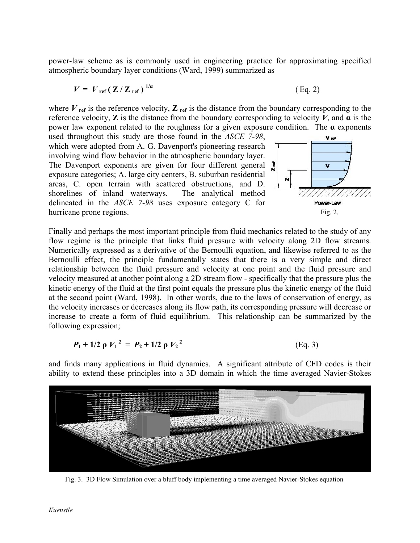power-law scheme as is commonly used in engineering practice for approximating specified atmospheric boundary layer conditions (Ward, 1999) summarized as

$$
V = V_{\text{ref}} \left( \mathbf{Z} / \mathbf{Z}_{\text{ref}} \right)^{1/a} \tag{Eq. 2}
$$

where  $V_{\text{ref}}$  is the reference velocity,  $Z_{\text{ref}}$  is the distance from the boundary corresponding to the reference velocity, **Z** is the distance from the boundary corresponding to velocity *V*, and  $\alpha$  is the power law exponent related to the roughness for a given exposure condition. The **α** exponents

used throughout this study are those found in the *ASCE 7-98*, which were adopted from A. G. Davenport's pioneering research involving wind flow behavior in the atmospheric boundary layer. The Davenport exponents are given for four different general exposure categories; A. large city centers, B. suburban residential areas, C. open terrain with scattered obstructions, and D. shorelines of inland waterways. The analytical method delineated in the *ASCE 7-98* uses exposure category C for hurricane prone regions.



Finally and perhaps the most important principle from fluid mechanics related to the study of any flow regime is the principle that links fluid pressure with velocity along 2D flow streams. Numerically expressed as a derivative of the Bernoulli equation, and likewise referred to as the Bernoulli effect, the principle fundamentally states that there is a very simple and direct relationship between the fluid pressure and velocity at one point and the fluid pressure and velocity measured at another point along a 2D stream flow - specifically that the pressure plus the kinetic energy of the fluid at the first point equals the pressure plus the kinetic energy of the fluid at the second point (Ward, 1998). In other words, due to the laws of conservation of energy, as the velocity increases or decreases along its flow path, its corresponding pressure will decrease or increase to create a form of fluid equilibrium. This relationship can be summarized by the following expression;

$$
P_1 + 1/2 \rho V_1^2 = P_2 + 1/2 \rho V_2^2
$$
 (Eq. 3)

and finds many applications in fluid dynamics. A significant attribute of CFD codes is their ability to extend these principles into a 3D domain in which the time averaged Navier-Stokes



Fig. 3. 3D Flow Simulation over a bluff body implementing a time averaged Navier-Stokes equation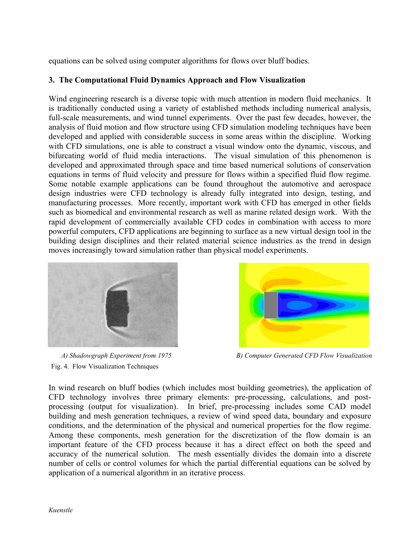equations can be solved using computer algorithms for flows over bluff bodies.

# **3. The Computational Fluid Dynamics Approach and Flow Visualization**

Wind engineering research is a diverse topic with much attention in modern fluid mechanics. It is traditionally conducted using a variety of established methods including numerical analysis, full-scale measurements, and wind tunnel experiments. Over the past few decades, however, the analysis of fluid motion and flow structure using CFD simulation modeling techniques have been developed and applied with considerable success in some areas within the discipline. Working with CFD simulations, one is able to construct a visual window onto the dynamic, viscous, and bifurcating world of fluid media interactions. The visual simulation of this phenomenon is developed and approximated through space and time based numerical solutions of conservation equations in terms of fluid velocity and pressure for flows within a specified fluid flow regime. Some notable example applications can be found throughout the automotive and aerospace design industries were CFD technology is already fully integrated into design, testing, and manufacturing processes. More recently, important work with CFD has emerged in other fields such as biomedical and environmental research as well as marine related design work. With the rapid development of commercially available CFD codes in combination with access to more powerful computers, CFD applications are beginning to surface as a new virtual design tool in the building design disciplines and their related material science industries as the trend in design moves increasingly toward simulation rather than physical model experiments.



Fig. 4. Flow Visualization Techniques



 *A) Shadowgraph Experiment from 1975 B) Computer Generated CFD Flow Visualization* 

In wind research on bluff bodies (which includes most building geometries), the application of CFD technology involves three primary elements: pre-processing, calculations, and postprocessing (output for visualization). In brief, pre-processing includes some CAD model building and mesh generation techniques, a review of wind speed data, boundary and exposure conditions, and the determination of the physical and numerical properties for the flow regime. Among these components, mesh generation for the discretization of the flow domain is an important feature of the CFD process because it has a direct effect on both the speed and accuracy of the numerical solution. The mesh essentially divides the domain into a discrete number of cells or control volumes for which the partial differential equations can be solved by application of a numerical algorithm in an iterative process.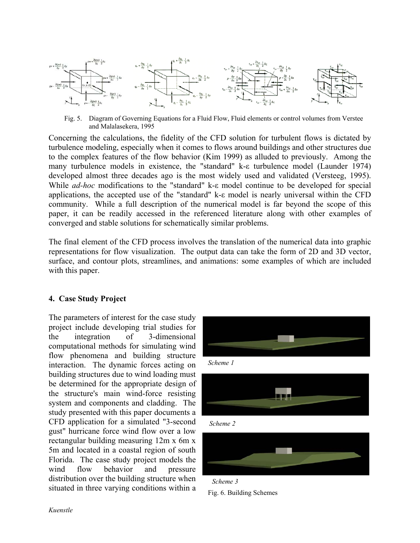

Fig. 5. Diagram of Governing Equations for a Fluid Flow, Fluid elements or control volumes from Verstee and Malalasekera, 1995

Concerning the calculations, the fidelity of the CFD solution for turbulent flows is dictated by turbulence modeling, especially when it comes to flows around buildings and other structures due to the complex features of the flow behavior (Kim 1999) as alluded to previously. Among the many turbulence models in existence, the "standard" k-ε turbulence model (Launder 1974) developed almost three decades ago is the most widely used and validated (Versteeg, 1995). While *ad-hoc* modifications to the "standard" k-ε model continue to be developed for special applications, the accepted use of the "standard" k-ε model is nearly universal within the CFD community. While a full description of the numerical model is far beyond the scope of this paper, it can be readily accessed in the referenced literature along with other examples of converged and stable solutions for schematically similar problems.

The final element of the CFD process involves the translation of the numerical data into graphic representations for flow visualization. The output data can take the form of 2D and 3D vector, surface, and contour plots, streamlines, and animations: some examples of which are included with this paper.

## **4. Case Study Project**

The parameters of interest for the case study project include developing trial studies for the integration of 3-dimensional computational methods for simulating wind flow phenomena and building structure interaction. The dynamic forces acting on building structures due to wind loading must be determined for the appropriate design of the structure's main wind-force resisting system and components and cladding. The study presented with this paper documents a CFD application for a simulated "3-second gust" hurricane force wind flow over a low rectangular building measuring 12m x 6m x 5m and located in a coastal region of south Florida. The case study project models the wind flow behavior and pressure distribution over the building structure when situated in three varying conditions within a









*Scheme 3*  Fig. 6. Building Schemes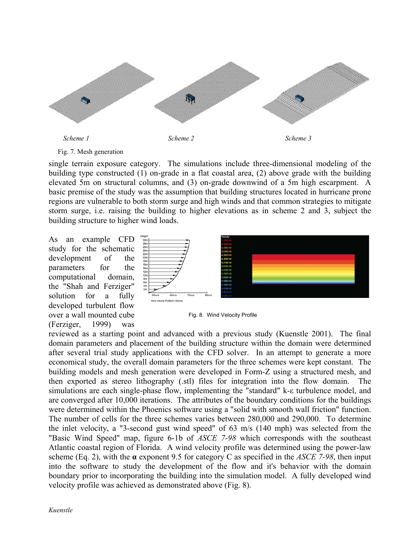



single terrain exposure category. The simulations include three-dimensional modeling of the building type constructed (1) on-grade in a flat coastal area, (2) above grade with the building elevated 5m on structural columns, and (3) on-grade downwind of a 5m high escarpment. A basic premise of the study was the assumption that building structures located in hurricane prone regions are vulnerable to both storm surge and high winds and that common strategies to mitigate storm surge, i.e. raising the building to higher elevations as in scheme 2 and 3, subject the building structure to higher wind loads.

As an example CFD study for the schematic development of the parameters for the computational domain, the "Shah and Ferziger" solution for a fully developed turbulent flow over a wall mounted cube (Ferziger, 1999) was





reviewed as a starting point and advanced with a previous study (Kuenstle 2001). The final domain parameters and placement of the building structure within the domain were determined after several trial study applications with the CFD solver. In an attempt to generate a more economical study, the overall domain parameters for the three schemes were kept constant. The building models and mesh generation were developed in Form-Z using a structured mesh, and then exported as stereo lithography (.stl) files for integration into the flow domain. The simulations are each single-phase flow, implementing the "standard" k-ε turbulence model, and are converged after 10,000 iterations. The attributes of the boundary conditions for the buildings were determined within the Phoenics software using a "solid with smooth wall friction" function. The number of cells for the three schemes varies between 280,000 and 290,000. To determine the inlet velocity, a "3-second gust wind speed" of 63 m/s (140 mph) was selected from the "Basic Wind Speed" map, figure 6-1b of *ASCE 7-98* which corresponds with the southeast Atlantic coastal region of Florida. A wind velocity profile was determined using the power-law scheme (Eq. 2), with the **α** exponent 9.5 for category C as specified in the *ASCE 7-98*, then input into the software to study the development of the flow and it's behavior with the domain boundary prior to incorporating the building into the simulation model. A fully developed wind velocity profile was achieved as demonstrated above (Fig. 8).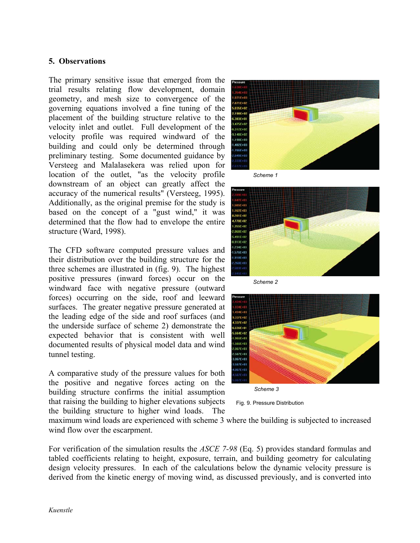## **5. Observations**

The primary sensitive issue that emerged from the trial results relating flow development, domain geometry, and mesh size to convergence of the governing equations involved a fine tuning of the placement of the building structure relative to the velocity inlet and outlet. Full development of the velocity profile was required windward of the building and could only be determined through preliminary testing. Some documented guidance by Versteeg and Malalasekera was relied upon for location of the outlet, "as the velocity profile downstream of an object can greatly affect the accuracy of the numerical results" (Versteeg, 1995). Additionally, as the original premise for the study is based on the concept of a "gust wind," it was determined that the flow had to envelope the entire structure (Ward, 1998).

The CFD software computed pressure values and their distribution over the building structure for the three schemes are illustrated in (fig. 9). The highest positive pressures (inward forces) occur on the windward face with negative pressure (outward forces) occurring on the side, roof and leeward surfaces. The greater negative pressure generated at the leading edge of the side and roof surfaces (and the underside surface of scheme 2) demonstrate the expected behavior that is consistent with well documented results of physical model data and wind tunnel testing.

A comparative study of the pressure values for both the positive and negative forces acting on the building structure confirms the initial assumption that raising the building to higher elevations subjects the building structure to higher wind loads. The



*Scheme 1* 



*Scheme 2* 



*Scheme 3* 

Fig. 9. Pressure Distribution

maximum wind loads are experienced with scheme 3 where the building is subjected to increased wind flow over the escarpment.

For verification of the simulation results the *ASCE 7-98* (Eq. 5) provides standard formulas and tabled coefficients relating to height, exposure, terrain, and building geometry for calculating design velocity pressures. In each of the calculations below the dynamic velocity pressure is derived from the kinetic energy of moving wind, as discussed previously, and is converted into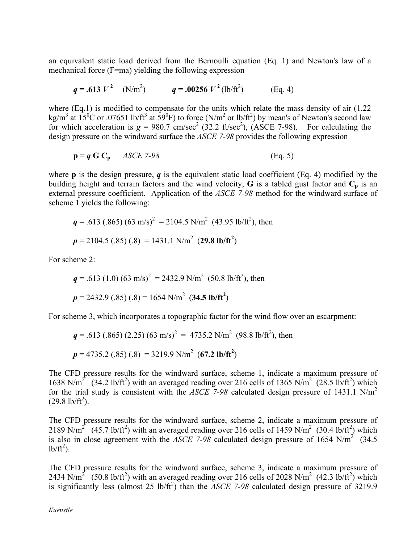an equivalent static load derived from the Bernoulli equation (Eq. 1) and Newton's law of a mechanical force (F=ma) yielding the following expression

$$
q = .613 V^2
$$
 (N/m<sup>2</sup>)  $q = .00256 V^2$  (lb/ft<sup>2</sup>) (Eq. 4)

where (Eq.1) is modified to compensate for the units which relate the mass density of air (1.22) kg/m<sup>3</sup> at  $15^{\circ}$ C or .07651 lb/ft<sup>3</sup> at  $59^{\circ}$ F) to force (N/m<sup>2</sup> or lb/ft<sup>2</sup>) by mean's of Newton's second law for which acceleration is  $g = 980.7$  cm/sec<sup>2</sup> (32.2 ft/sec<sup>2</sup>), (ASCE 7-98). For calculating the design pressure on the windward surface the *ASCE 7-98* provides the following expression

$$
\mathbf{p} = \mathbf{q} \mathbf{G} \mathbf{C_p} \qquad \text{ASCE } 7-98 \tag{Eq. 5}
$$

where **p** is the design pressure, *q* is the equivalent static load coefficient (Eq. 4) modified by the building height and terrain factors and the wind velocity, **G** is a tabled gust factor and  $C_p$  is an external pressure coefficient. Application of the *ASCE 7-98* method for the windward surface of scheme 1 yields the following:

$$
q = .613 (.865) (63 m/s)2 = 2104.5 N/m2 (43.95 lb/ft2), then
$$
  
 $p = 2104.5 (.85) (.8) = 1431.1 N/m2 (29.8 lb/ft2)$ 

For scheme 2:

$$
q = .613 (1.0) (63 \text{ m/s})^2 = 2432.9 \text{ N/m}^2 (50.8 \text{ lb/ft}^2)
$$
, then  
 $p = 2432.9 (.85) (.8) = 1654 \text{ N/m}^2 (34.5 \text{ lb/ft}^2)$ 

For scheme 3, which incorporates a topographic factor for the wind flow over an escarpment:

$$
q = .613 (.865) (2.25) (63 \text{ m/s})^2 = 4735.2 \text{ N/m}^2 (98.8 \text{ lb/ft}^2)
$$
, then  
 $p = 4735.2 (.85) (.8) = 3219.9 \text{ N/m}^2 (67.2 \text{ lb/ft}^2)$ 

The CFD pressure results for the windward surface, scheme 1, indicate a maximum pressure of 1638 N/m<sup>2</sup> (34.2 lb/ft<sup>2</sup>) with an averaged reading over 216 cells of 1365 N/m<sup>2</sup> (28.5 lb/ft<sup>2</sup>) which for the trial study is consistent with the *ASCE* 7-98 calculated design pressure of 1431.1 N/m<sup>2</sup>  $(29.8 \text{ lb/ft}^2)$ .

The CFD pressure results for the windward surface, scheme 2, indicate a maximum pressure of 2189 N/m<sup>2</sup> (45.7 lb/ft<sup>2</sup>) with an averaged reading over 216 cells of 1459 N/m<sup>2</sup> (30.4 lb/ft<sup>2</sup>) which is also in close agreement with the *ASCE* 7-98 calculated design pressure of 1654 N/m<sup>2</sup> (34.5)  $lb/ft^2$ ).

The CFD pressure results for the windward surface, scheme 3, indicate a maximum pressure of 2434 N/m<sup>2</sup> (50.8 lb/ft<sup>2</sup>) with an averaged reading over 216 cells of 2028 N/m<sup>2</sup> (42.3 lb/ft<sup>2</sup>) which is significantly less (almost 25 lb/ft<sup>2</sup>) than the *ASCE* 7-98 calculated design pressure of 3219.9

#### *Kuenstle*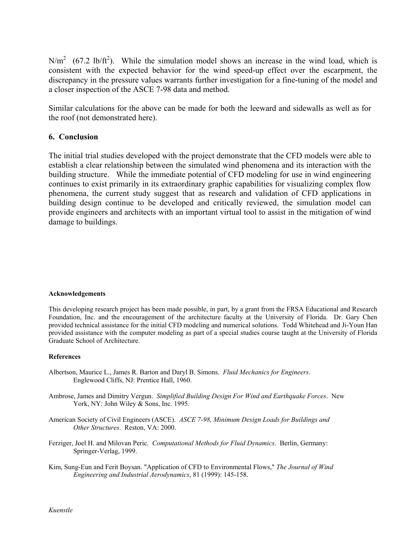$N/m<sup>2</sup>$  (67.2 lb/ft<sup>2</sup>). While the simulation model shows an increase in the wind load, which is consistent with the expected behavior for the wind speed-up effect over the escarpment, the discrepancy in the pressure values warrants further investigation for a fine-tuning of the model and a closer inspection of the ASCE 7-98 data and method.

Similar calculations for the above can be made for both the leeward and sidewalls as well as for the roof (not demonstrated here).

## **6. Conclusion**

The initial trial studies developed with the project demonstrate that the CFD models were able to establish a clear relationship between the simulated wind phenomena and its interaction with the building structure. While the immediate potential of CFD modeling for use in wind engineering continues to exist primarily in its extraordinary graphic capabilities for visualizing complex flow phenomena, the current study suggest that as research and validation of CFD applications in building design continue to be developed and critically reviewed, the simulation model can provide engineers and architects with an important virtual tool to assist in the mitigation of wind damage to buildings.

#### **Acknowledgements**

This developing research project has been made possible, in part, by a grant from the FRSA Educational and Research Foundation, Inc. and the encouragement of the architecture faculty at the University of Florida. Dr. Gary Chen provided technical assistance for the initial CFD modeling and numerical solutions. Todd Whitehead and Ji-Youn Han provided assistance with the computer modeling as part of a special studies course taught at the University of Florida Graduate School of Architecture.

#### **References**

- Albertson, Maurice L., James R. Barton and Daryl B. Simons. *Fluid Mechanics for Engineers*. Englewood Cliffs, NJ: Prentice Hall, 1960.
- Ambrose, James and Dimitry Vergun. *Simplified Building Design For Wind and Earthquake Forces*. New York, NY: John Wiley & Sons, Inc. 1995.
- American Society of Civil Engineers (ASCE). *ASCE 7-98, Minimum Design Loads for Buildings and Other Structures*. Reston, VA: 2000.
- Ferziger, Joel H. and Milovan Peric. *Computational Methods for Fluid Dynamics*. Berlin, Germany: Springer-Verlag, 1999.
- Kim, Sung-Eun and Ferit Boysan. "Application of CFD to Environmental Flows," *The Journal of Wind Engineering and Industrial Aerodynamics*, 81 (1999): 145-158.